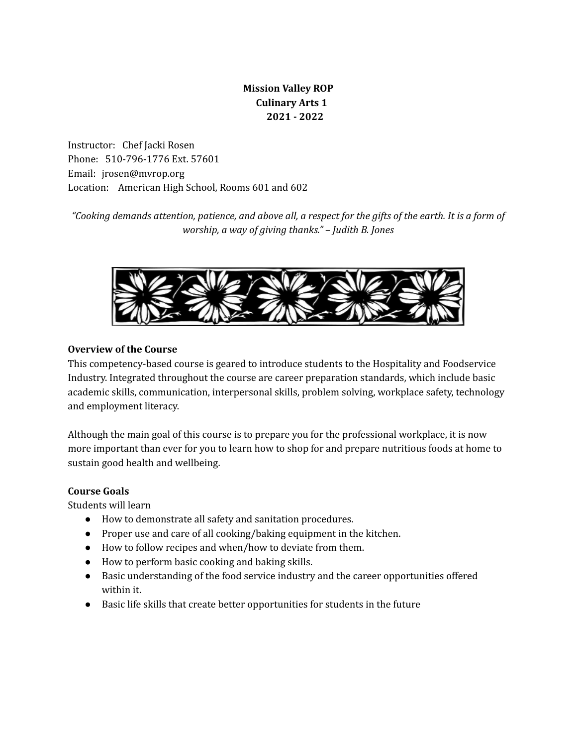# **Mission Valley ROP Culinary Arts 1 2021 - 2022**

Instructor: Chef Jacki Rosen Phone: 510-796-1776 Ext. 57601 Email: jrosen@mvrop.org Location: American High School, Rooms 601 and 602

"Cooking demands attention, patience, and above all, a respect for the gifts of the earth. It is a form of *worship, a way of giving thanks." – Judith B. Jones*



### **Overview of the Course**

This competency-based course is geared to introduce students to the Hospitality and Foodservice Industry. Integrated throughout the course are career preparation standards, which include basic academic skills, communication, interpersonal skills, problem solving, workplace safety, technology and employment literacy.

Although the main goal of this course is to prepare you for the professional workplace, it is now more important than ever for you to learn how to shop for and prepare nutritious foods at home to sustain good health and wellbeing.

#### **Course Goals**

Students will learn

- How to demonstrate all safety and sanitation procedures.
- Proper use and care of all cooking/baking equipment in the kitchen.
- How to follow recipes and when/how to deviate from them.
- How to perform basic cooking and baking skills.
- Basic understanding of the food service industry and the career opportunities offered within it.
- Basic life skills that create better opportunities for students in the future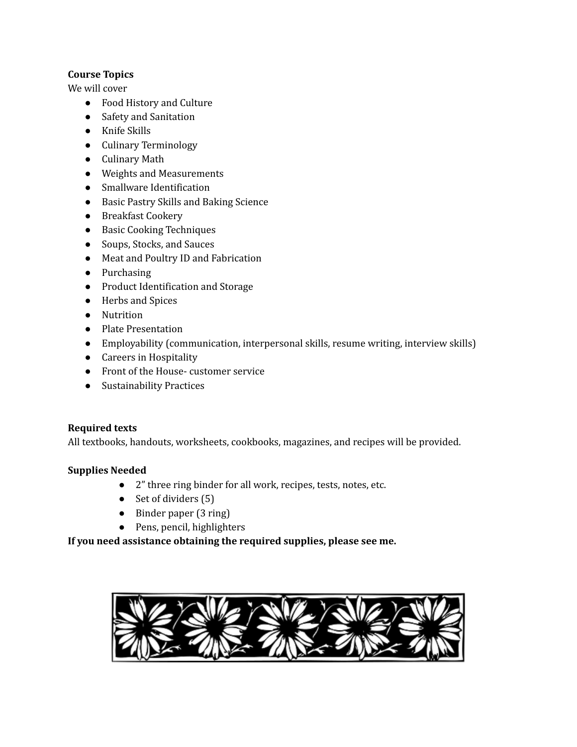### **Course Topics**

We will cover

- Food History and Culture
- Safety and Sanitation
- Knife Skills
- Culinary Terminology
- Culinary Math
- Weights and Measurements
- Smallware Identification
- Basic Pastry Skills and Baking Science
- Breakfast Cookery
- Basic Cooking Techniques
- Soups, Stocks, and Sauces
- Meat and Poultry ID and Fabrication
- Purchasing
- Product Identification and Storage
- Herbs and Spices
- Nutrition
- Plate Presentation
- Employability (communication, interpersonal skills, resume writing, interview skills)
- Careers in Hospitality
- Front of the House- customer service
- Sustainability Practices

# **Required texts**

All textbooks, handouts, worksheets, cookbooks, magazines, and recipes will be provided.

# **Supplies Needed**

- 2" three ring binder for all work, recipes, tests, notes, etc.
- $\bullet$  Set of dividers (5)
- Binder paper (3 ring)
- Pens, pencil, highlighters

# **If you need assistance obtaining the required supplies, please see me.**

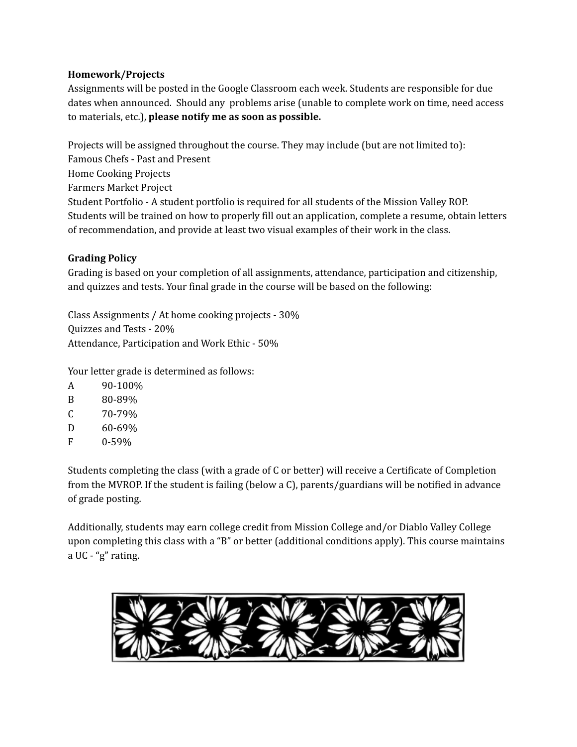#### **Homework/Projects**

Assignments will be posted in the Google Classroom each week. Students are responsible for due dates when announced. Should any problems arise (unable to complete work on time, need access to materials, etc.), **please notify me as soon as possible.**

Projects will be assigned throughout the course. They may include (but are not limited to): Famous Chefs - Past and Present Home Cooking Projects Farmers Market Project Student Portfolio - A student portfolio is required for all students of the Mission Valley ROP. Students will be trained on how to properly fill out an application, complete a resume, obtain letters of recommendation, and provide at least two visual examples of their work in the class.

### **Grading Policy**

Grading is based on your completion of all assignments, attendance, participation and citizenship, and quizzes and tests. Your final grade in the course will be based on the following:

Class Assignments / At home cooking projects - 30% Quizzes and Tests - 20% Attendance, Participation and Work Ethic - 50%

Your letter grade is determined as follows:

- A 90-100%
- B 80-89%
- $C = 70-79%$
- D 60-69%
- F 0-59%

Students completing the class (with a grade of C or better) will receive a Certificate of Completion from the MVROP. If the student is failing (below a C), parents/guardians will be notified in advance of grade posting.

Additionally, students may earn college credit from Mission College and/or Diablo Valley College upon completing this class with a "B" or better (additional conditions apply). This course maintains a UC - "g" rating.

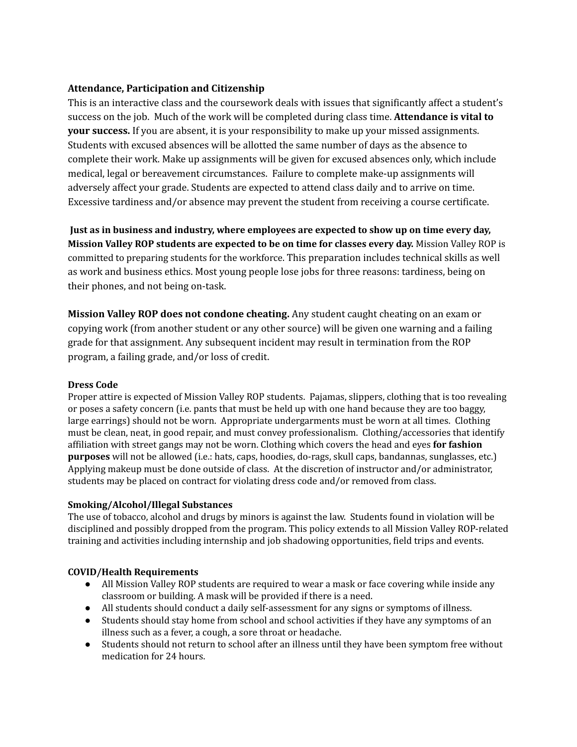#### **Attendance, Participation and Citizenship**

This is an interactive class and the coursework deals with issues that significantly affect a student's success on the job. Much of the work will be completed during class time. **Attendance is vital to your success.** If you are absent, it is your responsibility to make up your missed assignments. Students with excused absences will be allotted the same number of days as the absence to complete their work. Make up assignments will be given for excused absences only, which include medical, legal or bereavement circumstances. Failure to complete make-up assignments will adversely affect your grade. Students are expected to attend class daily and to arrive on time. Excessive tardiness and/or absence may prevent the student from receiving a course certificate.

**Just as in business and industry, where employees are expected to show up on time every day, Mission Valley ROP students are expected to be on time for classes every day.** Mission Valley ROP is committed to preparing students for the workforce. This preparation includes technical skills as well as work and business ethics. Most young people lose jobs for three reasons: tardiness, being on their phones, and not being on-task.

**Mission Valley ROP does not condone cheating.** Any student caught cheating on an exam or copying work (from another student or any other source) will be given one warning and a failing grade for that assignment. Any subsequent incident may result in termination from the ROP program, a failing grade, and/or loss of credit.

#### **Dress Code**

Proper attire is expected of Mission Valley ROP students. Pajamas, slippers, clothing that is too revealing or poses a safety concern (i.e. pants that must be held up with one hand because they are too baggy, large earrings) should not be worn. Appropriate undergarments must be worn at all times. Clothing must be clean, neat, in good repair, and must convey professionalism. Clothing/accessories that identify affiliation with street gangs may not be worn. Clothing which covers the head and eyes **for fashion purposes** will not be allowed (i.e.: hats, caps, hoodies, do-rags, skull caps, bandannas, sunglasses, etc.) Applying makeup must be done outside of class. At the discretion of instructor and/or administrator, students may be placed on contract for violating dress code and/or removed from class.

#### **Smoking/Alcohol/Illegal Substances**

The use of tobacco, alcohol and drugs by minors is against the law. Students found in violation will be disciplined and possibly dropped from the program. This policy extends to all Mission Valley ROP-related training and activities including internship and job shadowing opportunities, field trips and events.

#### **COVID/Health Requirements**

- All Mission Valley ROP students are required to wear a mask or face covering while inside any classroom or building. A mask will be provided if there is a need.
- All students should conduct a daily self-assessment for any signs or symptoms of illness.
- Students should stay home from school and school activities if they have any symptoms of an illness such as a fever, a cough, a sore throat or headache.
- Students should not return to school after an illness until they have been symptom free without medication for 24 hours.